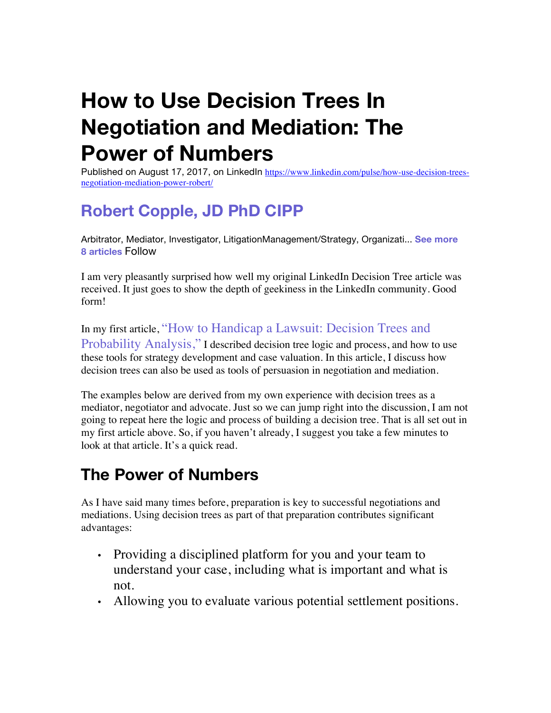# **How to Use Decision Trees In Negotiation and Mediation: The Power of Numbers**

Published on August 17, 2017, on LinkedIn https://www.linkedin.com/pulse/how-use-decision-treesnegotiation-mediation-power-robert/

## **Robert Copple, JD PhD CIPP**

Arbitrator, Mediator, Investigator, LitigationManagement/Strategy, Organizati... **See more 8 articles** Follow

I am very pleasantly surprised how well my original LinkedIn Decision Tree article was received. It just goes to show the depth of geekiness in the LinkedIn community. Good form!

In my first article, "How to Handicap a Lawsuit: Decision Trees and Probability Analysis," I described decision tree logic and process, and how to use these tools for strategy development and case valuation. In this article, I discuss how decision trees can also be used as tools of persuasion in negotiation and mediation.

The examples below are derived from my own experience with decision trees as a mediator, negotiator and advocate. Just so we can jump right into the discussion, I am not going to repeat here the logic and process of building a decision tree. That is all set out in my first article above. So, if you haven't already, I suggest you take a few minutes to look at that article. It's a quick read.

## **The Power of Numbers**

As I have said many times before, preparation is key to successful negotiations and mediations. Using decision trees as part of that preparation contributes significant advantages:

- Providing a disciplined platform for you and your team to understand your case, including what is important and what is not.
- Allowing you to evaluate various potential settlement positions.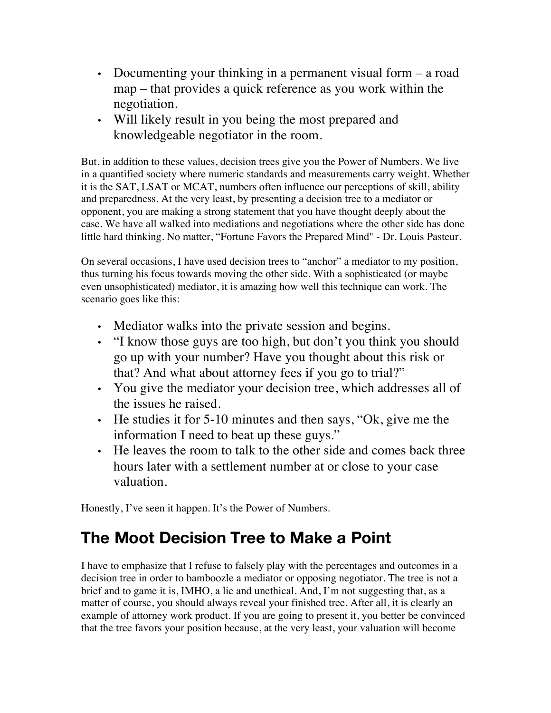- Documenting your thinking in a permanent visual form a road map – that provides a quick reference as you work within the negotiation.
- Will likely result in you being the most prepared and knowledgeable negotiator in the room.

But, in addition to these values, decision trees give you the Power of Numbers. We live in a quantified society where numeric standards and measurements carry weight. Whether it is the SAT, LSAT or MCAT, numbers often influence our perceptions of skill, ability and preparedness. At the very least, by presenting a decision tree to a mediator or opponent, you are making a strong statement that you have thought deeply about the case. We have all walked into mediations and negotiations where the other side has done little hard thinking. No matter, "Fortune Favors the Prepared Mind" - Dr. Louis Pasteur.

On several occasions, I have used decision trees to "anchor" a mediator to my position, thus turning his focus towards moving the other side. With a sophisticated (or maybe even unsophisticated) mediator, it is amazing how well this technique can work. The scenario goes like this:

- Mediator walks into the private session and begins.
- "I know those guys are too high, but don't you think you should go up with your number? Have you thought about this risk or that? And what about attorney fees if you go to trial?"
- You give the mediator your decision tree, which addresses all of the issues he raised.
- He studies it for 5-10 minutes and then says, "Ok, give me the information I need to beat up these guys."
- He leaves the room to talk to the other side and comes back three hours later with a settlement number at or close to your case valuation.

Honestly, I've seen it happen. It's the Power of Numbers.

## **The Moot Decision Tree to Make a Point**

I have to emphasize that I refuse to falsely play with the percentages and outcomes in a decision tree in order to bamboozle a mediator or opposing negotiator. The tree is not a brief and to game it is, IMHO, a lie and unethical. And, I'm not suggesting that, as a matter of course, you should always reveal your finished tree. After all, it is clearly an example of attorney work product. If you are going to present it, you better be convinced that the tree favors your position because, at the very least, your valuation will become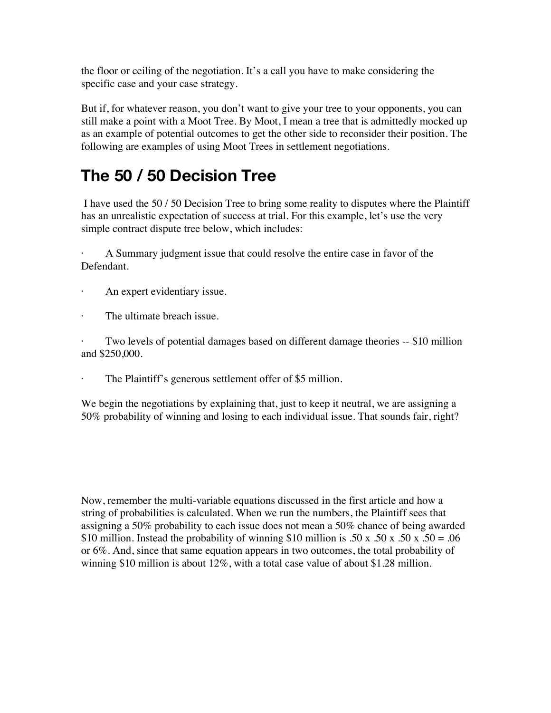the floor or ceiling of the negotiation. It's a call you have to make considering the specific case and your case strategy.

But if, for whatever reason, you don't want to give your tree to your opponents, you can still make a point with a Moot Tree. By Moot, I mean a tree that is admittedly mocked up as an example of potential outcomes to get the other side to reconsider their position. The following are examples of using Moot Trees in settlement negotiations.

## **The 50 / 50 Decision Tree**

I have used the 50 / 50 Decision Tree to bring some reality to disputes where the Plaintiff has an unrealistic expectation of success at trial. For this example, let's use the very simple contract dispute tree below, which includes:

A Summary judgment issue that could resolve the entire case in favor of the Defendant.

- An expert evidentiary issue.
- · The ultimate breach issue.

Two levels of potential damages based on different damage theories -- \$10 million and \$250,000.

The Plaintiff's generous settlement offer of \$5 million.

We begin the negotiations by explaining that, just to keep it neutral, we are assigning a 50% probability of winning and losing to each individual issue. That sounds fair, right?

Now, remember the multi-variable equations discussed in the first article and how a string of probabilities is calculated. When we run the numbers, the Plaintiff sees that assigning a 50% probability to each issue does not mean a 50% chance of being awarded \$10 million. Instead the probability of winning \$10 million is .50 x .50 x .50 x .50 = .06 or 6%. And, since that same equation appears in two outcomes, the total probability of winning \$10 million is about 12%, with a total case value of about \$1.28 million.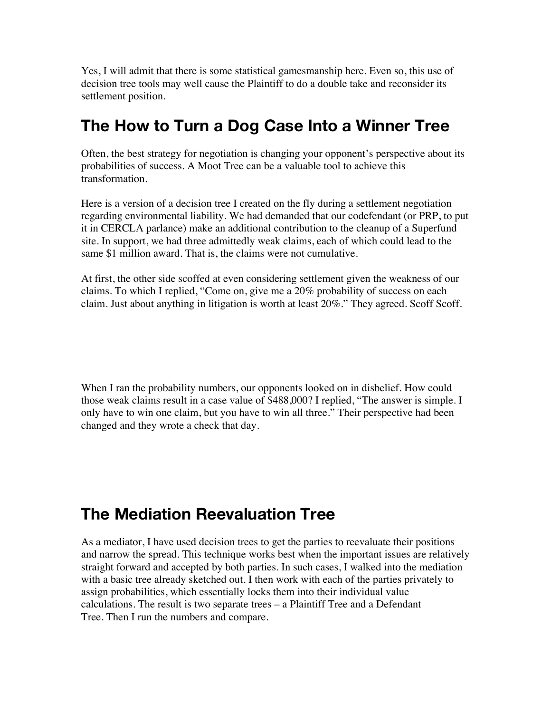Yes, I will admit that there is some statistical gamesmanship here. Even so, this use of decision tree tools may well cause the Plaintiff to do a double take and reconsider its settlement position.

#### **The How to Turn a Dog Case Into a Winner Tree**

Often, the best strategy for negotiation is changing your opponent's perspective about its probabilities of success. A Moot Tree can be a valuable tool to achieve this transformation.

Here is a version of a decision tree I created on the fly during a settlement negotiation regarding environmental liability. We had demanded that our codefendant (or PRP, to put it in CERCLA parlance) make an additional contribution to the cleanup of a Superfund site. In support, we had three admittedly weak claims, each of which could lead to the same \$1 million award. That is, the claims were not cumulative.

At first, the other side scoffed at even considering settlement given the weakness of our claims. To which I replied, "Come on, give me a 20% probability of success on each claim. Just about anything in litigation is worth at least 20%." They agreed. Scoff Scoff.

When I ran the probability numbers, our opponents looked on in disbelief. How could those weak claims result in a case value of \$488,000? I replied, "The answer is simple. I only have to win one claim, but you have to win all three." Their perspective had been changed and they wrote a check that day.

#### **The Mediation Reevaluation Tree**

As a mediator, I have used decision trees to get the parties to reevaluate their positions and narrow the spread. This technique works best when the important issues are relatively straight forward and accepted by both parties. In such cases, I walked into the mediation with a basic tree already sketched out. I then work with each of the parties privately to assign probabilities, which essentially locks them into their individual value calculations. The result is two separate trees – a Plaintiff Tree and a Defendant Tree. Then I run the numbers and compare.